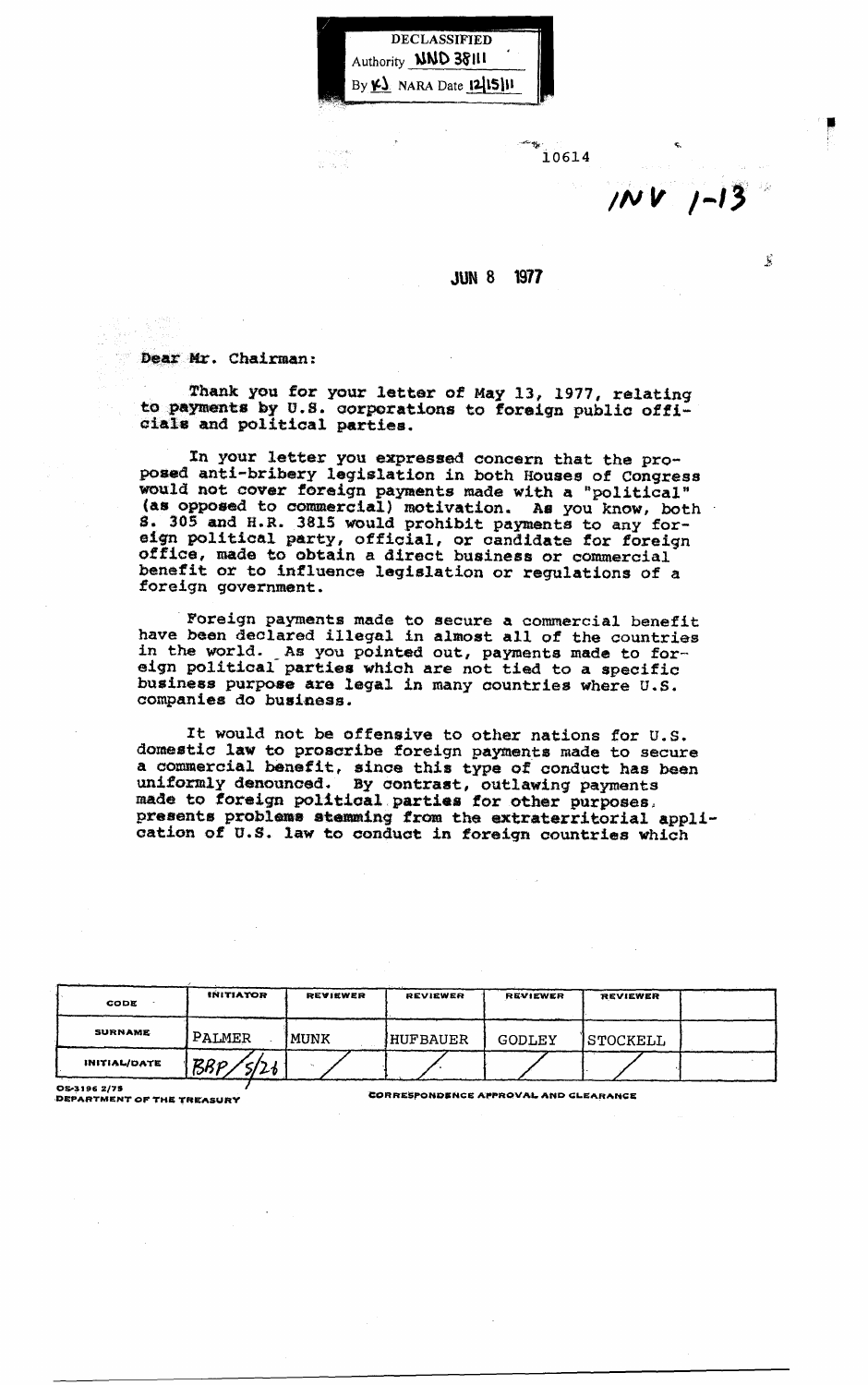DECLASSIFIED Authority **NND 38111** By  $\kappa$ . NARA Date 12/15/11

mas di

 $\mathcal{L}^{\text{max}}$  is the contract of the contract of the contract of the contract of the contract of the contract of the contract of the contract of the contract of the contract of the contract of the contract of the contrac 10614

 $10V$   $1-13$ 

 $\tilde{\mathbf{y}}$ 

## JUN 8 1971

Dear Mr. Chairman:

Thank you for your letter of May 13, 1917, relating to payments by U.8. corporations to foreign publio offiaia18 and politioal parties.

In your letter you expressed ooncern that the proposed anti-bribery legislation in both Houses of Congress would not cover foreign payments made with a "political" (as opposed to oommercial) motivation. Ae you know, both S. 305 and H.R. 3815 would prohibit payments to any foreign political party, official, or candidate for foreign office, made to obtain a direct business or commercial benetit or to influence legislation or regulations of a foreign government.

" Foreign payments made to secure a commercial benefit have been declared illegal in almost all of the countries in the world. As you pointed out, payments made to foreign political parties which are not tied to a specific business purpose are legal in many countries where U.S. companies do business.

It would not be offensive to other nations for U.S. domestic law to proscribe foreign payments made to secure a commercial benefit, since this type of oonduot has been uniformly denounoed. By oontrast, outlawing payments made to foreign political parties for other purposes,<br>presents problems stemming from the extraterritorial applipresents problems stemming from the extraterritorial appli-cation of U.S. law to conduct in foreign countries which

| CODE                | <b>INITIATOR</b> | REVIEWER | <b>REVIEWER</b> | REVIEWER | REVIEWER |  |
|---------------------|------------------|----------|-----------------|----------|----------|--|
| <b>SURNAME</b>      | PALMER           | MUNK     | HUFBAUER        | GODLEY   | STOCKELL |  |
| <b>INITIAL/DATE</b> | <b>BBP</b><br>21 |          |                 |          |          |  |

OS-3196 2/75<br>DEPARTMENT OF THE TREASURY FRAMELIAN CORRESPONDENCE APPROVAL AND GLEARANCE